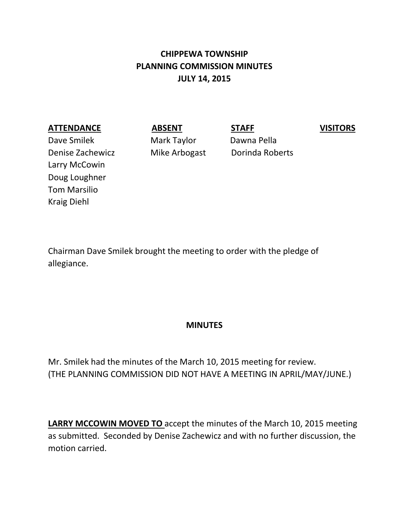# **CHIPPEWA TOWNSHIP PLANNING COMMISSION MINUTES JULY 14, 2015**

### **ATTENDANCE ABSENT STAFF VISITORS**

Dave Smilek Mark Taylor Dawna Pella Denise Zachewicz Mike Arbogast Dorinda Roberts Larry McCowin Doug Loughner Tom Marsilio Kraig Diehl

Chairman Dave Smilek brought the meeting to order with the pledge of allegiance.

## **MINUTES**

Mr. Smilek had the minutes of the March 10, 2015 meeting for review. (THE PLANNING COMMISSION DID NOT HAVE A MEETING IN APRIL/MAY/JUNE.)

**LARRY MCCOWIN MOVED TO** accept the minutes of the March 10, 2015 meeting as submitted. Seconded by Denise Zachewicz and with no further discussion, the motion carried.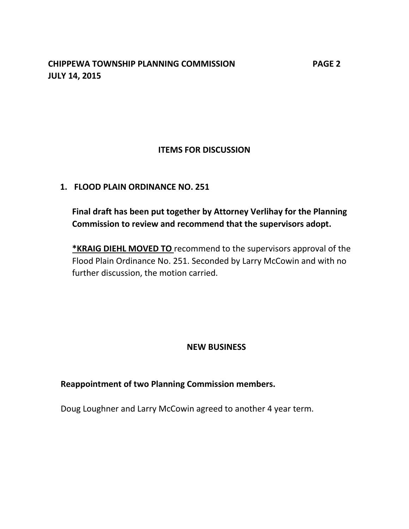### **ITEMS FOR DISCUSSION**

#### **1. FLOOD PLAIN ORDINANCE NO. 251**

**Final draft has been put together by Attorney Verlihay for the Planning Commission to review and recommend that the supervisors adopt.**

**\*KRAIG DIEHL MOVED TO** recommend to the supervisors approval of the Flood Plain Ordinance No. 251. Seconded by Larry McCowin and with no further discussion, the motion carried.

#### **NEW BUSINESS**

 **Reappointment of two Planning Commission members.**

Doug Loughner and Larry McCowin agreed to another 4 year term.